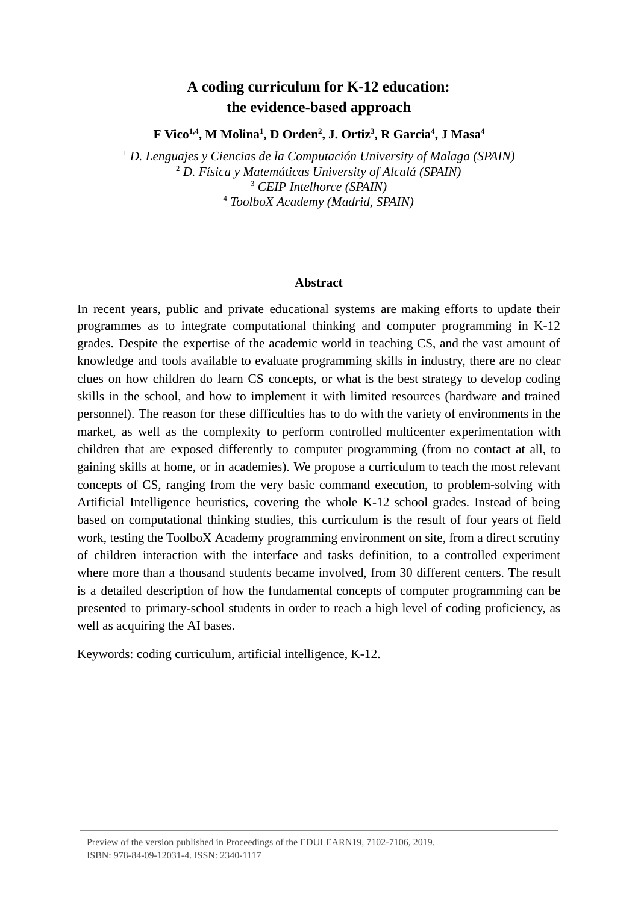# **A coding curriculum for K-12 education: the evidence-based approach**

**F Vico 1,4 , M Molina <sup>1</sup> , D Orden <sup>2</sup> , J. Ortiz <sup>3</sup> , R Garcia <sup>4</sup> , J Masa <sup>4</sup>**

<sup>1</sup> D. Lenguajes y Ciencias de la Computación University of Malaga (SPAIN) *D. Física y Matemáticas University of Alcalá (SPAIN) CEIP Intelhorce (SPAIN) ToolboX Academy (Madrid, SPAIN)*

#### **Abstract**

In recent years, public and private educational systems are making efforts to update their programmes as to integrate computational thinking and computer programming in K-12 grades. Despite the expertise of the academic world in teaching CS, and the vast amount of knowledge and tools available to evaluate programming skills in industry, there are no clear clues on how children do learn CS concepts, or what is the best strategy to develop coding skills in the school, and how to implement it with limited resources (hardware and trained personnel). The reason for these difficulties has to do with the variety of environments in the market, as well as the complexity to perform controlled multicenter experimentation with children that are exposed differently to computer programming (from no contact at all, to gaining skills at home, or in academies). We propose a curriculum to teach the most relevant concepts of CS, ranging from the very basic command execution, to problem-solving with Artificial Intelligence heuristics, covering the whole K-12 school grades. Instead of being based on computational thinking studies, this curriculum is the result of four years of field work, testing the ToolboX Academy programming environment on site, from a direct scrutiny of children interaction with the interface and tasks definition, to a controlled experiment where more than a thousand students became involved, from 30 different centers. The result is a detailed description of how the fundamental concepts of computer programming can be presented to primary-school students in order to reach a high level of coding proficiency, as well as acquiring the AI bases.

Keywords: coding curriculum, artificial intelligence, K-12.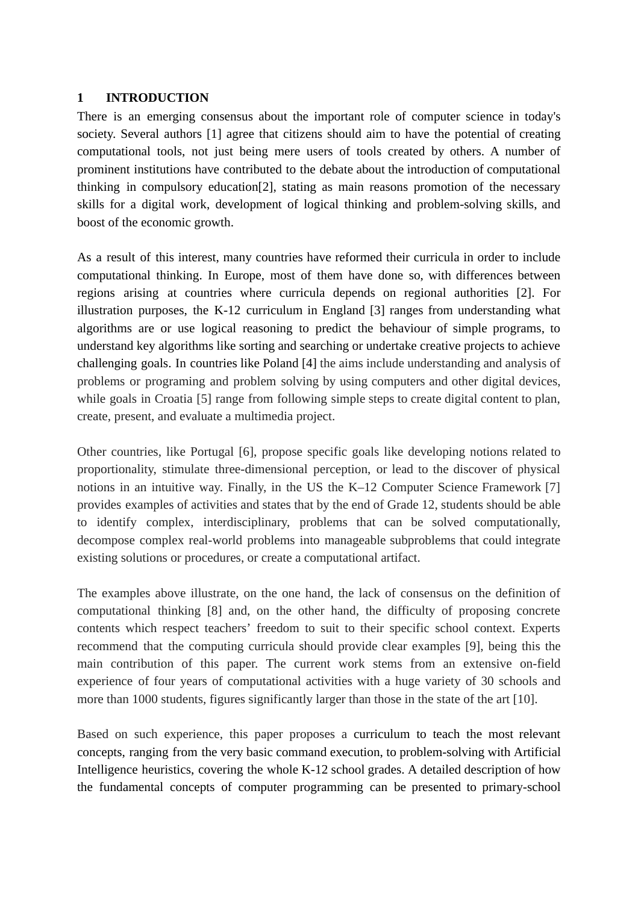#### **1 INTRODUCTION**

There is an emerging consensus about the important role of computer science in today's society. Several authors [1] agree that citizens should aim to have the potential of creating computational tools, not just being mere users of tools created by others. A number of prominent institutions have contributed to the debate about the introduction of computational thinking in compulsory education[2], stating as main reasons promotion of the necessary skills for a digital work, development of logical thinking and problem-solving skills, and boost of the economic growth.

As a result of this interest, many countries have reformed their curricula in order to include computational thinking. In Europe, most of them have done so, with differences between regions arising at countries where curricula depends on regional authorities [2]. For illustration purposes, the K-12 curriculum in England [3] ranges from understanding what algorithms are or use logical reasoning to predict the behaviour of simple programs, to understand key algorithms like sorting and searching or undertake creative projects to achieve challenging goals. In countries like Poland [4] the aims include understanding and analysis of problems or programing and problem solving by using computers and other digital devices, while goals in Croatia [5] range from following simple steps to create digital content to plan, create, present, and evaluate a multimedia project.

Other countries, like Portugal [6], propose specific goals like developing notions related to proportionality, stimulate three-dimensional perception, or lead to the discover of physical notions in an intuitive way. Finally, in the US the K–12 Computer Science Framework [7] provides examples of activities and states that by the end of Grade 12, students should be able to identify complex, interdisciplinary, problems that can be solved computationally, decompose complex real-world problems into manageable subproblems that could integrate existing solutions or procedures, or create a computational artifact.

The examples above illustrate, on the one hand, the lack of consensus on the definition of computational thinking [8] and, on the other hand, the difficulty of proposing concrete contents which respect teachers' freedom to suit to their specific school context. Experts recommend that the computing curricula should provide clear examples [9], being this the main contribution of this paper. The current work stems from an extensive on-field experience of four years of computational activities with a huge variety of 30 schools and more than 1000 students, figures significantly larger than those in the state of the art [10].

Based on such experience, this paper proposes a curriculum to teach the most relevant concepts, ranging from the very basic command execution, to problem-solving with Artificial Intelligence heuristics, covering the whole K-12 school grades. A detailed description of how the fundamental concepts of computer programming can be presented to primary-school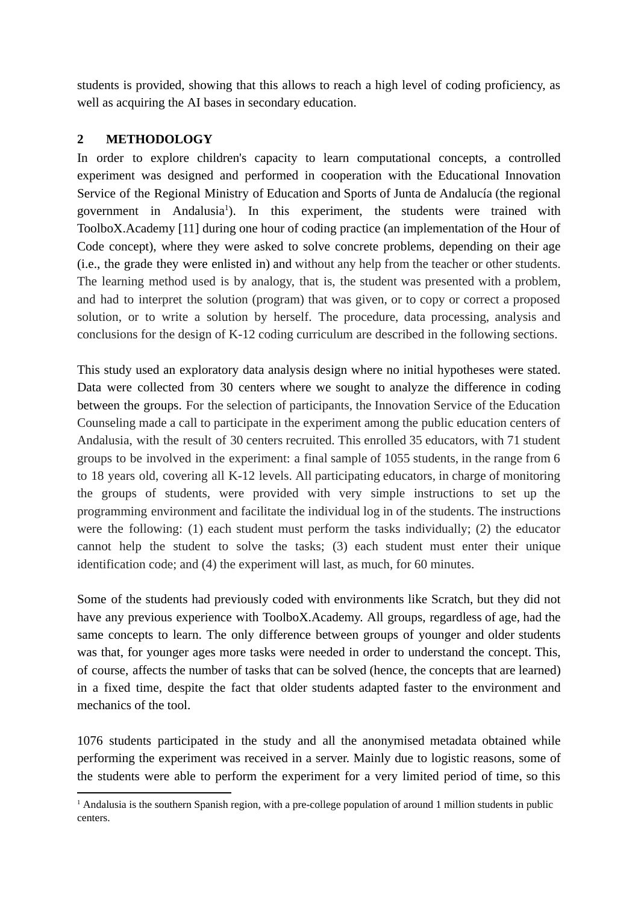students is provided, showing that this allows to reach a high level of coding proficiency, as well as acquiring the AI bases in secondary education.

# **2 METHODOLOGY**

In order to explore children's capacity to learn computational concepts, a controlled experiment was designed and performed in cooperation with the Educational Innovation Service of the Regional Ministry of Education and Sports of Junta de Andalucía (the regional government in Andalusia<sup>1</sup>). In this experiment, the students were trained with ToolboX.Academy [11] during one hour of coding practice (an implementation of the Hour of Code concept), where they were asked to solve concrete problems, depending on their age (i.e., the grade they were enlisted in) and without any help from the teacher or other students. The learning method used is by analogy, that is, the student was presented with a problem, and had to interpret the solution (program) that was given, or to copy or correct a proposed solution, or to write a solution by herself. The procedure, data processing, analysis and conclusions for the design of K-12 coding curriculum are described in the following sections.

This study used an exploratory data analysis design where no initial hypotheses were stated. Data were collected from 30 centers where we sought to analyze the difference in coding between the groups. For the selection of participants, the Innovation Service of the Education Counseling made a call to participate in the experiment among the public education centers of Andalusia, with the result of 30 centers recruited. This enrolled 35 educators, with 71 student groups to be involved in the experiment: a final sample of 1055 students, in the range from 6 to 18 years old, covering all K-12 levels. All participating educators, in charge of monitoring the groups of students, were provided with very simple instructions to set up the programming environment and facilitate the individual log in of the students. The instructions were the following: (1) each student must perform the tasks individually; (2) the educator cannot help the student to solve the tasks; (3) each student must enter their unique identification code; and (4) the experiment will last, as much, for 60 minutes.

Some of the students had previously coded with environments like Scratch, but they did not have any previous experience with ToolboX.Academy. All groups, regardless of age, had the same concepts to learn. The only difference between groups of younger and older students was that, for younger ages more tasks were needed in order to understand the concept. This, of course, affects the number of tasks that can be solved (hence, the concepts that are learned) in a fixed time, despite the fact that older students adapted faster to the environment and mechanics of the tool.

1076 students participated in the study and all the anonymised metadata obtained while performing the experiment was received in a server. Mainly due to logistic reasons, some of the students were able to perform the experiment for a very limited period of time, so this

 $<sup>1</sup>$  Andalusia is the southern Spanish region, with a pre-college population of around 1 million students in public</sup> centers.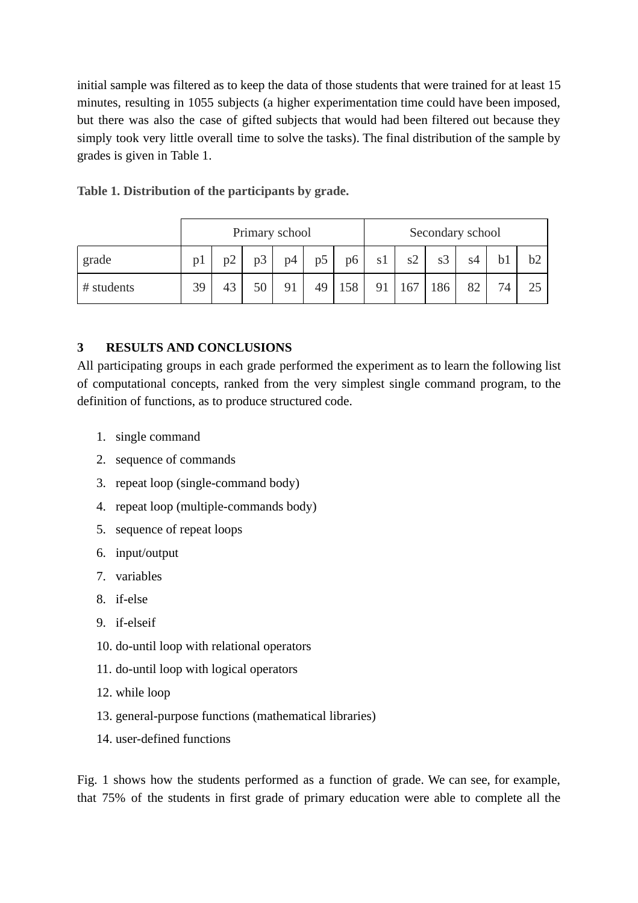initial sample was filtered as to keep the data of those students that were trained for at least 15 minutes, resulting in 1055 subjects (a higher experimentation time could have been imposed, but there was also the case of gifted subjects that would had been filtered out because they simply took very little overall time to solve the tasks). The final distribution of the sample by grades is given in Table 1.

|            | Primary school |    |    |                |                |     | Secondary school |     |     |    |    |    |
|------------|----------------|----|----|----------------|----------------|-----|------------------|-----|-----|----|----|----|
| grade      | p1             | p2 | p3 | D <sup>4</sup> | p <sub>5</sub> | p6  | s1               | s2  | s3  | s4 |    | b2 |
| # students | 39             | 43 | 50 | 91             | 49             | 158 | 91               | 167 | 186 | 82 | 74 | 25 |

**Table 1. Distribution of the participants by grade.**

## **3 RESULTS AND CONCLUSIONS**

All participating groups in each grade performed the experiment as to learn the following list of computational concepts, ranked from the very simplest single command program, to the definition of functions, as to produce structured code.

- 1. single command
- 2. sequence of commands
- 3. repeat loop (single-command body)
- 4. repeat loop (multiple-commands body)
- 5. sequence of repeat loops
- 6. input/output
- 7. variables
- 8. if-else
- 9. if-elseif
- 10. do-until loop with relational operators
- 11. do-until loop with logical operators
- 12. while loop
- 13. general-purpose functions (mathematical libraries)
- 14. user-defined functions

Fig. 1 shows how the students performed as a function of grade. We can see, for example, that 75% of the students in first grade of primary education were able to complete all the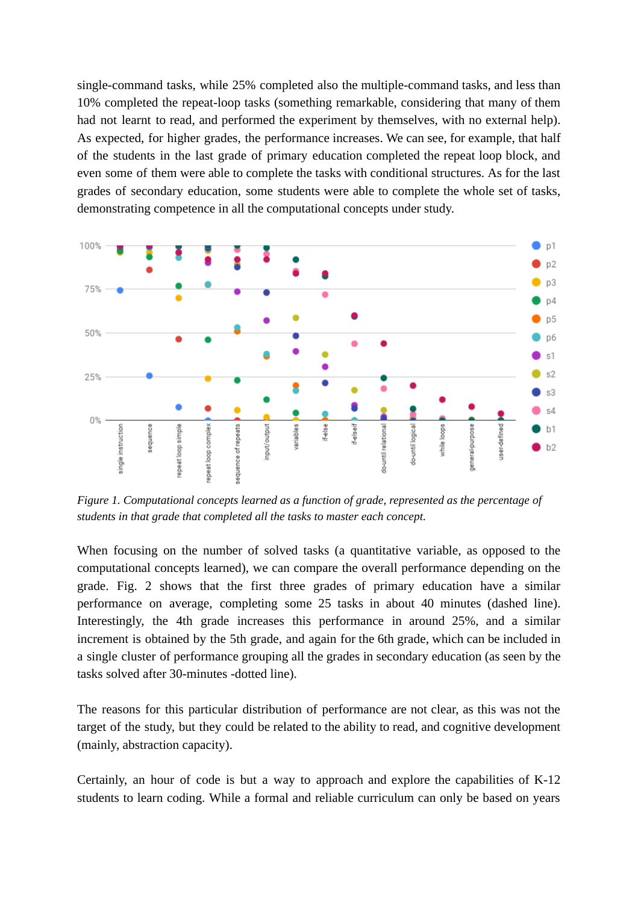single-command tasks, while 25% completed also the multiple-command tasks, and less than 10% completed the repeat-loop tasks (something remarkable, considering that many of them had not learnt to read, and performed the experiment by themselves, with no external help). As expected, for higher grades, the performance increases. We can see, for example, that half of the students in the last grade of primary education completed the repeat loop block, and even some of them were able to complete the tasks with conditional structures. As for the last grades of secondary education, some students were able to complete the whole set of tasks, demonstrating competence in all the computational concepts under study.



*Figure 1. Computational concepts learned as a function of grade, represented as the percentage of students in that grade that completed all the tasks to master each concept.*

When focusing on the number of solved tasks (a quantitative variable, as opposed to the computational concepts learned), we can compare the overall performance depending on the grade. Fig. 2 shows that the first three grades of primary education have a similar performance on average, completing some 25 tasks in about 40 minutes (dashed line). Interestingly, the 4th grade increases this performance in around 25%, and a similar increment is obtained by the 5th grade, and again for the 6th grade, which can be included in a single cluster of performance grouping all the grades in secondary education (as seen by the tasks solved after 30-minutes -dotted line).

The reasons for this particular distribution of performance are not clear, as this was not the target of the study, but they could be related to the ability to read, and cognitive development (mainly, abstraction capacity).

Certainly, an hour of code is but a way to approach and explore the capabilities of K-12 students to learn coding. While a formal and reliable curriculum can only be based on years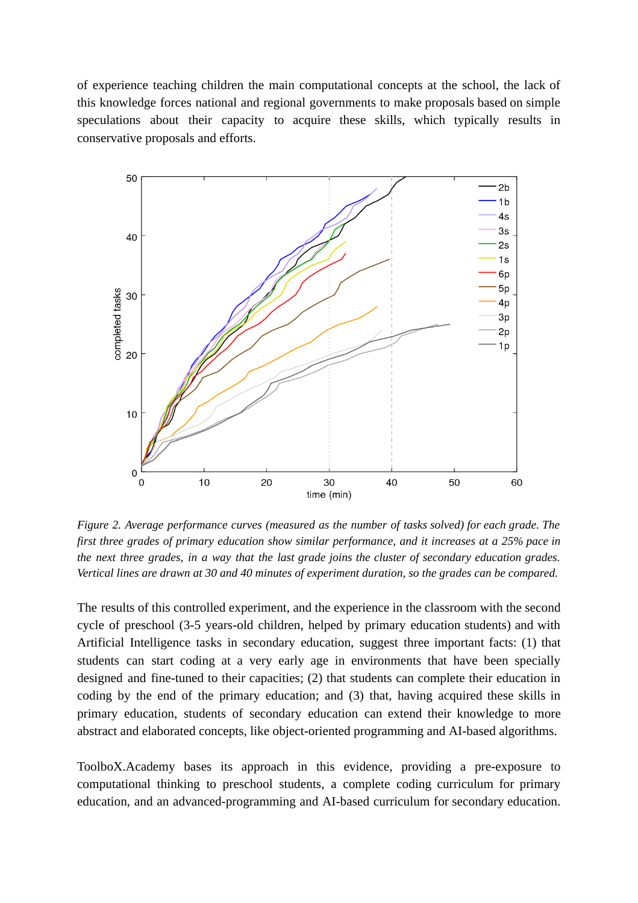of experience teaching children the main computational concepts at the school, the lack of this knowledge forces national and regional governments to make proposals based on simple speculations about their capacity to acquire these skills, which typically results in conservative proposals and efforts.



*Figure 2. Average performance curves (measured as the number of tasks solved) for each grade. The first three grades of primary education show similar performance, and it increases at a 25% pace in* the next three grades, in a way that the last grade joins the cluster of secondary education grades. Vertical lines are drawn at 30 and 40 minutes of experiment duration, so the grades can be compared.

The results of this controlled experiment, and the experience in the classroom with the second cycle of preschool (3-5 years-old children, helped by primary education students) and with Artificial Intelligence tasks in secondary education, suggest three important facts: (1) that students can start coding at a very early age in environments that have been specially designed and fine-tuned to their capacities; (2) that students can complete their education in coding by the end of the primary education; and (3) that, having acquired these skills in primary education, students of secondary education can extend their knowledge to more abstract and elaborated concepts, like object-oriented programming and AI-based algorithms.

ToolboX.Academy bases its approach in this evidence, providing a pre-exposure to computational thinking to preschool students, a complete coding curriculum for primary education, and an advanced-programming and AI-based curriculum for secondary education.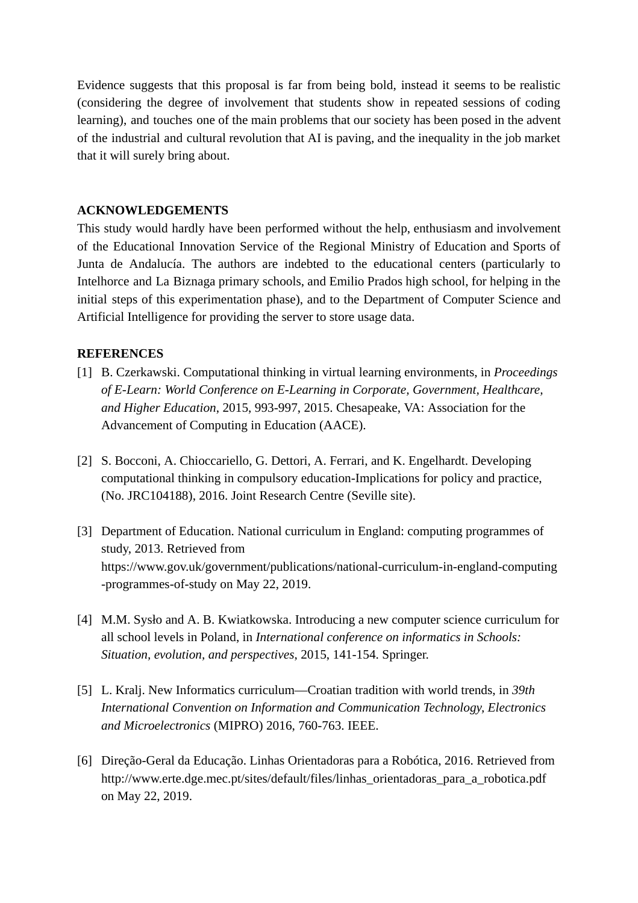Evidence suggests that this proposal is far from being bold, instead it seems to be realistic (considering the degree of involvement that students show in repeated sessions of coding learning), and touches one of the main problems that our society has been posed in the advent of the industrial and cultural revolution that AI is paving, and the inequality in the job market that it will surely bring about.

#### **ACKNOWLEDGEMENTS**

This study would hardly have been performed without the help, enthusiasm and involvement of the Educational Innovation Service of the Regional Ministry of Education and Sports of Junta de Andalucía. The authors are indebted to the educational centers (particularly to Intelhorce and La Biznaga primary schools, and Emilio Prados high school, for helping in the initial steps of this experimentation phase), and to the Department of Computer Science and Artificial Intelligence for providing the server to store usage data.

## **REFERENCES**

- [1] B. Czerkawski. Computational thinking in virtual learning environments, in *Proceedings of E-Learn: World Conference on E-Learning in Corporate, Government, Healthcare, and Higher Education* , 2015, 993-997, 2015. Chesapeake, VA: Association for the Advancement of Computing in Education (AACE).
- [2] S. Bocconi, A. Chioccariello, G. Dettori, A. Ferrari, and K. Engelhardt. Developing computational thinking in compulsory education-Implications for policy and practice, (No. JRC104188), 2016. Joint Research Centre (Seville site).
- [3] Department of Education. National curriculum in England: computing programmes of study, 2013. Retrieved from https://www.gov.uk/government/publications/national-curriculum-in-england-computing -programmes-of-study on May 22, 2019.
- [4] M.M. Sysło and A. B. Kwiatkowska. Introducing a new computer science curriculum for all school levels in Poland, in *International conference on informatics in Schools: Situation, evolution, and perspectives* , 2015, 141-154. Springer.
- [5] L. Kralj. New Informatics curriculum—Croatian tradition with world trends, in *39th International Convention on Information and Communication Technology, Electronics and Microelectronics* (MIPRO) 2016, 760-763. IEEE.
- [6] Direção-Geral da Educação. Linhas Orientadoras para a Robótica, 2016. Retrieved from http://www.erte.dge.mec.pt/sites/default/files/linhas\_orientadoras\_para\_a\_robotica.pdf on May 22, 2019.